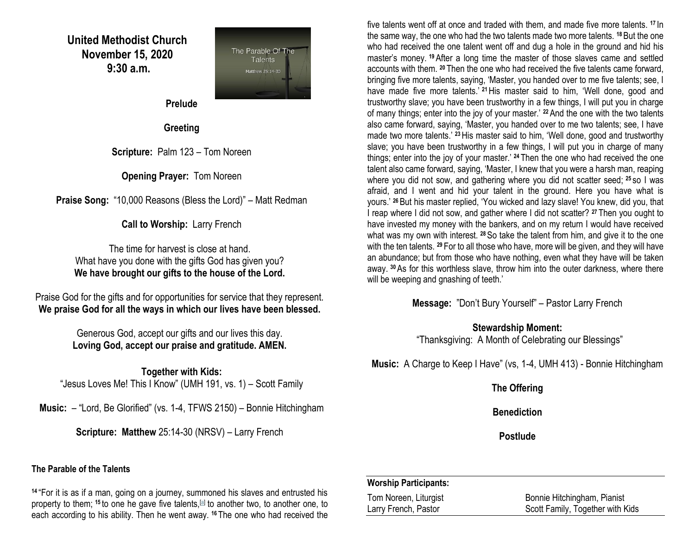## **United Methodist Church November 15, 2020 9:30 a.m.**



**Prelude** 

**Greeting**

**Scripture:** Palm 123 – Tom Noreen

**Opening Prayer:** Tom Noreen

**Praise Song:** "10,000 Reasons (Bless the Lord)" – Matt Redman

**Call to Worship:** Larry French

The time for harvest is close at hand. What have you done with the gifts God has given you? **We have brought our gifts to the house of the Lord.**

Praise God for the gifts and for opportunities for service that they represent. **We praise God for all the ways in which our lives have been blessed.**

> Generous God, accept our gifts and our lives this day. **Loving God, accept our praise and gratitude. AMEN.**

**Together with Kids:** "Jesus Loves Me! This I Know" (UMH 191, vs. 1) – Scott Family

**Music:** – "Lord, Be Glorified" (vs. 1-4, TFWS 2150) – Bonnie Hitchingham

**Scripture: Matthew** 25:14-30 (NRSV) – Larry French

#### **The Parable of the Talents**

**<sup>14</sup>** "For it is as if a man, going on a journey, summoned his slaves and entrusted his property to them; <sup>15</sup> to one he gave five talents,<sup>[\[a\]](https://www.biblegateway.com/passage/?search=Matthew+25%3A14-30&version=NRSV#fen-NRSV-24021a)</sup> to another two, to another one, to each according to his ability. Then he went away. **<sup>16</sup>** The one who had received the

five talents went off at once and traded with them, and made five more talents. **<sup>17</sup>** In the same way, the one who had the two talents made two more talents. **<sup>18</sup>**But the one who had received the one talent went off and dug a hole in the ground and hid his master's money. **<sup>19</sup>**After a long time the master of those slaves came and settled accounts with them. **<sup>20</sup>** Then the one who had received the five talents came forward, bringing five more talents, saying, 'Master, you handed over to me five talents; see, I have made five more talents.' **<sup>21</sup>**His master said to him, 'Well done, good and trustworthy slave; you have been trustworthy in a few things, I will put you in charge of many things; enter into the joy of your master.' **<sup>22</sup>**And the one with the two talents also came forward, saying, 'Master, you handed over to me two talents; see, I have made two more talents.' **<sup>23</sup>**His master said to him, 'Well done, good and trustworthy slave; you have been trustworthy in a few things, I will put you in charge of many things; enter into the joy of your master.' **<sup>24</sup>** Then the one who had received the one talent also came forward, saying, 'Master, I knew that you were a harsh man, reaping where you did not sow, and gathering where you did not scatter seed; **<sup>25</sup>** so I was afraid, and I went and hid your talent in the ground. Here you have what is yours.' **<sup>26</sup>**But his master replied, 'You wicked and lazy slave! You knew, did you, that I reap where I did not sow, and gather where I did not scatter? **<sup>27</sup>** Then you ought to have invested my money with the bankers, and on my return I would have received what was my own with interest. **<sup>28</sup>**So take the talent from him, and give it to the one with the ten talents. **<sup>29</sup>** For to all those who have, more will be given, and they will have an abundance; but from those who have nothing, even what they have will be taken away. **<sup>30</sup>**As for this worthless slave, throw him into the outer darkness, where there will be weeping and gnashing of teeth.'

**Message:** "Don't Bury Yourself" – Pastor Larry French

**Stewardship Moment:** "Thanksgiving: A Month of Celebrating our Blessings"

**Music:** A Charge to Keep I Have" (vs, 1-4, UMH 413) - Bonnie Hitchingham

**The Offering**

**Benediction**

**Postlude**

#### **Worship Participants:**

Tom Noreen, Liturgist Bonnie Hitchingham, Pianist Larry French, Pastor Scott Family, Together with Kids